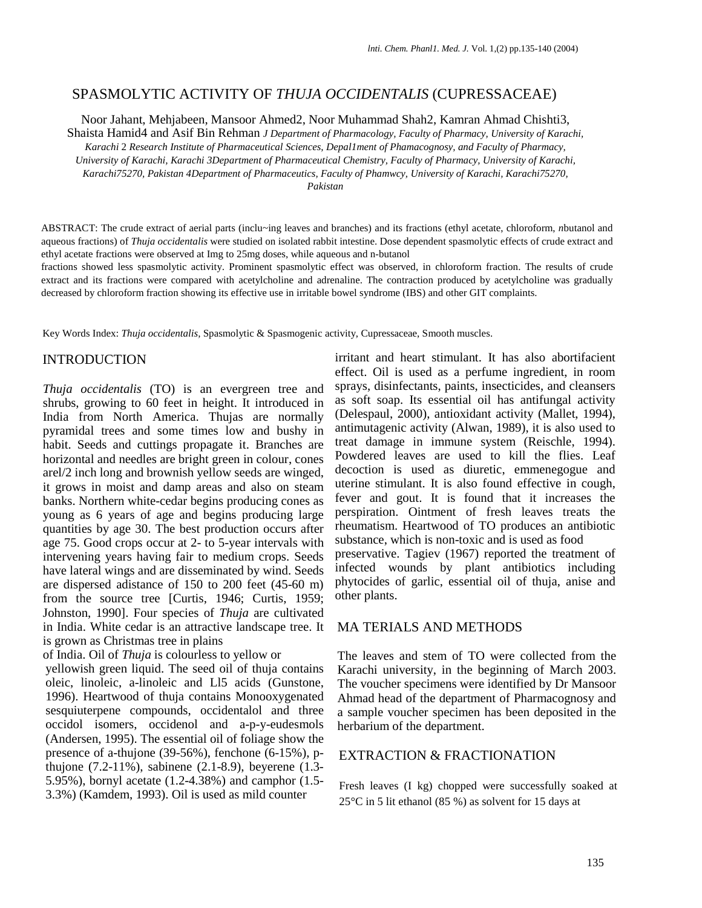## SPASMOLYTIC ACTIVITY OF *THUJA OCCIDENTALIS* (CUPRESSACEAE)

Noor Jahant, Mehjabeen, Mansoor Ahmed2, Noor Muhammad Shah2, Kamran Ahmad Chishti3,

Shaista Hamid4 and Asif Bin Rehman *J Department of Pharmacology, Faculty of Pharmacy, University of Karachi, Karachi* 2 *Research Institute of Pharmaceutical Sciences, Depal1ment of Phamacognosy, and Faculty of Pharmacy, University of Karachi, Karachi 3Department of Pharmaceutical Chemistry, Faculty of Pharmacy, University of Karachi, Karachi75270, Pakistan 4Department of Pharmaceutics, Faculty of Phamwcy, University of Karachi, Karachi75270, Pakistan* 

ABSTRACT: The crude extract of aerial parts (inclu~ing leaves and branches) and its fractions (ethyl acetate, chloroform, *n*butanol and aqueous fractions) of *Thuja occidentalis* were studied on isolated rabbit intestine. Dose dependent spasmolytic effects of crude extract and ethyl acetate fractions were observed at Img to 25mg doses, while aqueous and n-butanol

fractions showed less spasmolytic activity. Prominent spasmolytic effect was observed, in chloroform fraction. The results of crude extract and its fractions were compared with acetylcholine and adrenaline. The contraction produced by acetylcholine was gradually decreased by chloroform fraction showing its effective use in irritable bowel syndrome (IBS) and other GIT complaints.

Key Words Index: *Thuja occidentalis,* Spasmolytic & Spasmogenic activity, Cupressaceae, Smooth muscles.

## INTRODUCTION

*Thuja occidentalis* (TO) is an evergreen tree and shrubs, growing to 60 feet in height. It introduced in India from North America. Thujas are normally pyramidal trees and some times low and bushy in habit. Seeds and cuttings propagate it. Branches are horizontal and needles are bright green in colour, cones arel/2 inch long and brownish yellow seeds are winged, it grows in moist and damp areas and also on steam banks. Northern white-cedar begins producing cones as young as 6 years of age and begins producing large quantities by age 30. The best production occurs after age 75. Good crops occur at 2- to 5-year intervals with intervening years having fair to medium crops. Seeds have lateral wings and are disseminated by wind. Seeds are dispersed adistance of 150 to 200 feet (45-60 m) from the source tree [Curtis, 1946; Curtis, 1959; Johnston, 1990]. Four species of *Thuja* are cultivated in India. White cedar is an attractive landscape tree. It is grown as Christmas tree in plains

of India. Oil of *Thuja* is colourless to yellow or yellowish green liquid. The seed oil of thuja contains oleic, linoleic, a-linoleic and Ll5 acids (Gunstone, 1996). Heartwood of thuja contains Monooxygenated sesquiuterpene compounds, occidentalol and three occidol isomers, occidenol and a-p-y-eudesmols (Andersen, 1995). The essential oil of foliage show the presence of a-thujone (39-56%), fenchone (6-15%), pthujone (7.2-11%), sabinene (2.1-8.9), beyerene (1.3- 5.95%), bornyl acetate (1.2-4.38%) and camphor (1.5- 3.3%) (Kamdem, 1993). Oil is used as mild counter

irritant and heart stimulant. It has also abortifacient effect. Oil is used as a perfume ingredient, in room sprays, disinfectants, paints, insecticides, and cleansers as soft soap. Its essential oil has antifungal activity (Delespaul, 2000), antioxidant activity (Mallet, 1994), antimutagenic activity (Alwan, 1989), it is also used to treat damage in immune system (Reischle, 1994). Powdered leaves are used to kill the flies. Leaf decoction is used as diuretic, emmenegogue and uterine stimulant. It is also found effective in cough, fever and gout. It is found that it increases the perspiration. Ointment of fresh leaves treats the rheumatism. Heartwood of TO produces an antibiotic substance, which is non-toxic and is used as food preservative. Tagiev (1967) reported the treatment of infected wounds by plant antibiotics including phytocides of garlic, essential oil of thuja, anise and other plants.

### MA TERIALS AND METHODS

The leaves and stem of TO were collected from the Karachi university, in the beginning of March 2003. The voucher specimens were identified by Dr Mansoor Ahmad head of the department of Pharmacognosy and a sample voucher specimen has been deposited in the herbarium of the department.

## EXTRACTION & FRACTIONATION

Fresh leaves (I kg) chopped were successfully soaked at 25°C in 5 lit ethanol (85 %) as solvent for 15 days at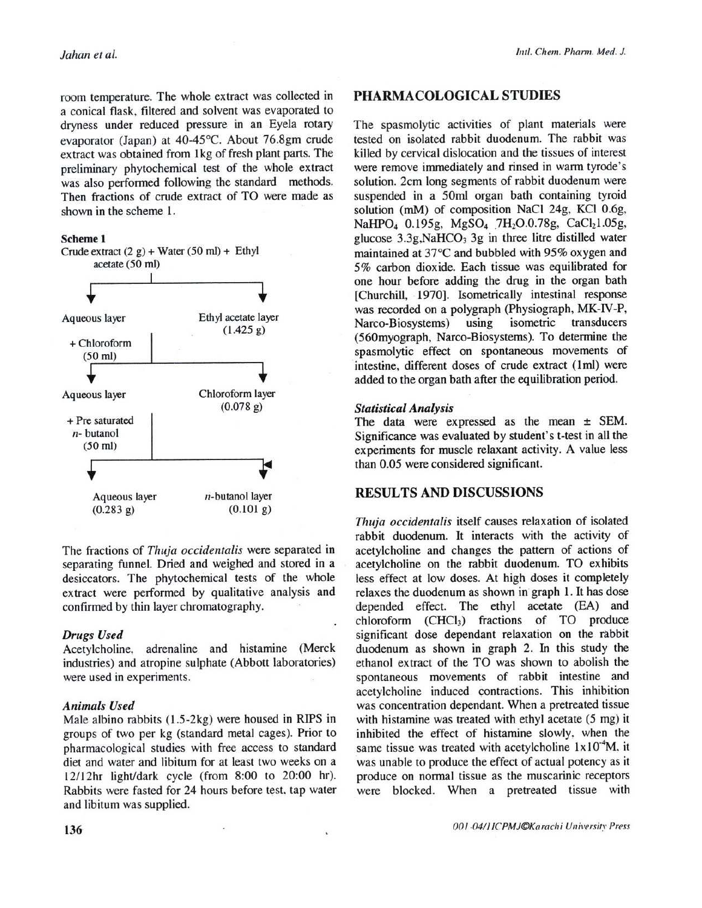room temperature. The whole extract was collected in a conical flask, filtered and solvent was evaporated to dryness under reduced pressure in an Eyela rotary evaporator (Japan) at 40-45°C. About 76.8gm crude extract was obtained from 1kg of fresh plant parts. The preliminary phytochemical test of the whole extract was also performed following the standard methods. Then fractions of crude extract of TO were made as shown in the scheme 1.





The fractions of Thuja occidentalis were separated in separating funnel. Dried and weighed and stored in a desiccators. The phytochemical tests of the whole extract were performed by qualitative analysis and confirmed by thin layer chromatography.

#### **Drugs Used**

Acetylcholine, adrenaline and histamine (Merck industries) and atropine sulphate (Abbott laboratories) were used in experiments.

#### **Animals Used**

Male albino rabbits (1.5-2kg) were housed in RIPS in groups of two per kg (standard metal cages). Prior to pharmacological studies with free access to standard diet and water and libitum for at least two weeks on a 12/12hr light/dark cycle (from 8:00 to 20:00 hr). Rabbits were fasted for 24 hours before test, tap water and libitum was supplied.

# PHARMACOLOGICAL STUDIES

The spasmolytic activities of plant materials were tested on isolated rabbit duodenum. The rabbit was killed by cervical dislocation and the tissues of interest were remove immediately and rinsed in warm tyrode's solution. 2cm long segments of rabbit duodenum were suspended in a 50ml organ bath containing tyroid solution (mM) of composition NaCl 24g, KCl 0.6g, NaHPO<sub>4</sub> 0.195g, MgSO<sub>4</sub> 7H<sub>2</sub>O.0.78g, CaCl<sub>2</sub>1.05g, glucose 3.3g, NaHCO<sub>3</sub> 3g in three litre distilled water maintained at 37°C and bubbled with 95% oxygen and 5% carbon dioxide. Each tissue was equilibrated for one hour before adding the drug in the organ bath [Churchill, 1970]. Isometrically intestinal response was recorded on a polygraph (Physiograph, MK-IV-P, Narco-Biosystems) using isometric transducers (560myograph, Narco-Biosystems). To determine the spasmolytic effect on spontaneous movements of intestine, different doses of crude extract (1ml) were added to the organ bath after the equilibration period.

#### **Statistical Analysis**

The data were expressed as the mean  $\pm$  SEM. Significance was evaluated by student's t-test in all the experiments for muscle relaxant activity. A value less than 0.05 were considered significant.

# **RESULTS AND DISCUSSIONS**

Thuja occidentalis itself causes relaxation of isolated rabbit duodenum. It interacts with the activity of acetylcholine and changes the pattern of actions of acetylcholine on the rabbit duodenum. TO exhibits less effect at low doses. At high doses it completely relaxes the duodenum as shown in graph 1. It has dose depended effect. The ethyl acetate (EA) and chloroform (CHCl<sub>3</sub>) fractions of TO produce significant dose dependant relaxation on the rabbit duodenum as shown in graph 2. In this study the ethanol extract of the TO was shown to abolish the spontaneous movements of rabbit intestine and acetylcholine induced contractions. This inhibition was concentration dependant. When a pretreated tissue with histamine was treated with ethyl acetate (5 mg) it inhibited the effect of histamine slowly, when the same tissue was treated with acetylcholine  $1x10^4$ M, it was unable to produce the effect of actual potency as it produce on normal tissue as the muscarinic receptors were blocked. When a pretreated tissue with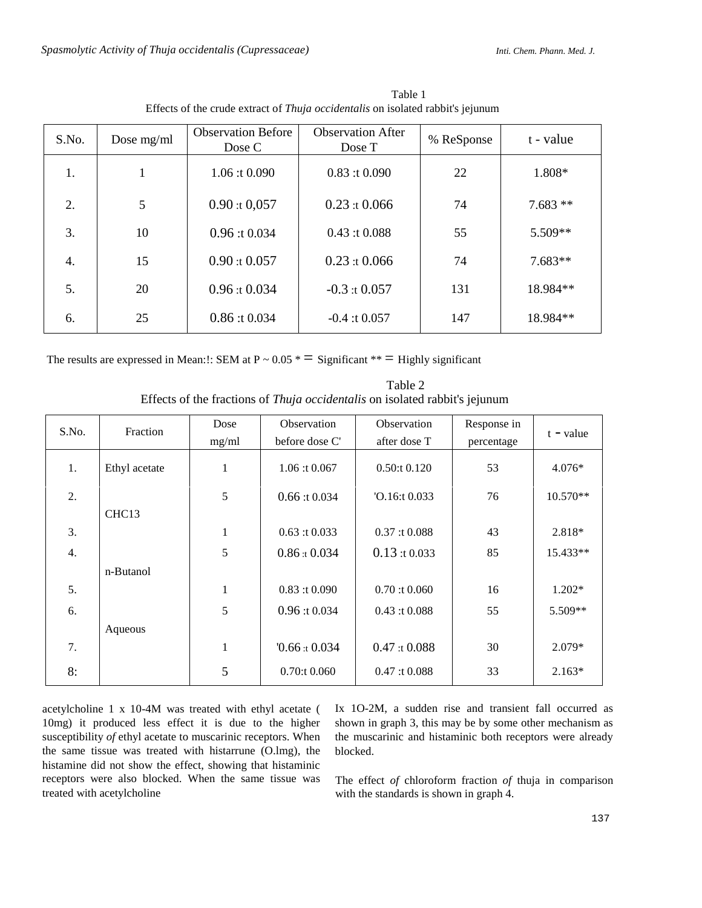| S.No. | Dose mg/ml | <b>Observation Before</b><br>Dose C | <b>Observation After</b><br>Dose T | % ReSponse | t - value |
|-------|------------|-------------------------------------|------------------------------------|------------|-----------|
| 1.    | 1          | 1.06:10.090                         | 0.83:10.090                        | 22         | 1.808*    |
| 2.    | 5          | 0.90:10,057                         | 0.23:10.066                        | 74         | $7.683**$ |
| 3.    | 10         | 0.96:10.034                         | 0.43:10.088                        | 55         | 5.509**   |
| 4.    | 15         | $0.90:$ t $0.057$                   | 0.23:10.066                        | 74         | $7.683**$ |
| 5.    | 20         | 0.96:10.034                         | $-0.3$ : t 0.057                   | 131        | 18.984**  |
| 6.    | 25         | 0.86:10.034                         | $-0.4:10.057$                      | 147        | 18.984**  |

Table 1 Effects of the crude extract of Thuja occidentalis on isolated rabbit's jejunum

The results are expressed in Mean: !: SEM at  $P \sim 0.05$  \*  $\equiv$  Significant \*\*  $\equiv$  Highly significant

| Table 2                                                                            |
|------------------------------------------------------------------------------------|
| Effects of the fractions of <i>Thuja occidentalis</i> on isolated rabbit's jejunum |

| S.No.            | Fraction          | Dose  | Observation         | Observation        | Response in |             |
|------------------|-------------------|-------|---------------------|--------------------|-------------|-------------|
|                  |                   | mg/ml | before dose C'      | after dose T       | percentage  | $t - value$ |
| 1.               | Ethyl acetate     | 1     | 1.06:10.067         | 0.50:t 0.120       | 53          | $4.076*$    |
| 2.               |                   | 5     | 0.66:10.034         | $'O.16$ :t $0.033$ | 76          | $10.570**$  |
|                  | CHC <sub>13</sub> |       |                     |                    |             |             |
| 3.               |                   | -     | 0.63 : t 0.033      | 0.37:10.088        | 43          | 2.818*      |
| $\overline{4}$ . |                   | 5     | 0.86:10.034         | 0.13:10.033        | 85          | 15.433**    |
|                  | n-Butanol         |       |                     |                    |             |             |
| 5.               |                   | 1     | 0.83:10.090         | 0.70:10.060        | 16          | $1.202*$    |
| 6.               |                   | 5     | 0.96:10.034         | 0.43:10.088        | 55          | 5.509**     |
|                  | Aqueous           |       |                     |                    |             |             |
| 7.               |                   |       | $0.66 \times 0.034$ | 0.47:10.088        | 30          | $2.079*$    |
| 8:               |                   | 5     | $0.70$ :t $0.060$   | 0.47:10.088        | 33          | $2.163*$    |

acetylcholine 1 x 10-4M was treated with ethyl acetate ( 10mg) it produced less effect it is due to the higher susceptibility of ethyl acetate to muscarinic receptors. When the same tissue was treated with histarrune (O.lmg), the histamine did not show the effect, showing that histaminic receptors were also blocked. When the same tissue was treated with acetylcholine

Ix 1O-2M, a sudden rise and transient fall occurred as shown in graph 3, this may be by some other mechanism as the muscarinic and histaminic both receptors were already blocked.

The effect of chloroform fraction of thuja in comparison with the standards is shown in graph 4.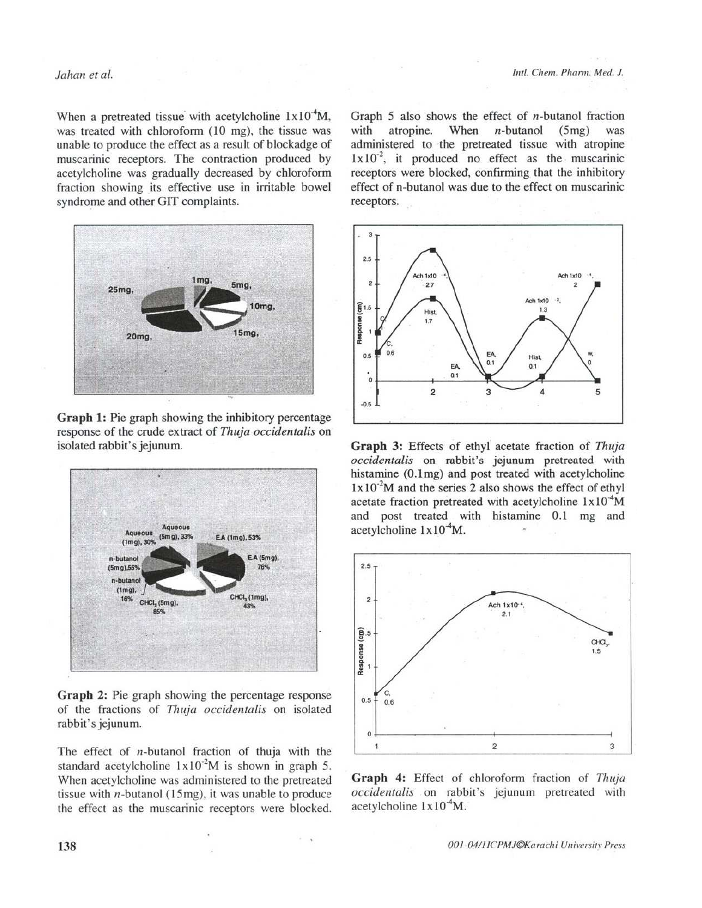### Jahan et al.

When a pretreated tissue with acetylcholine  $1x10^4M$ , was treated with chloroform (10 mg), the tissue was unable to produce the effect as a result of blockadge of muscarinic receptors. The contraction produced by acetylcholine was gradually decreased by chloroform fraction showing its effective use in irritable bowel syndrome and other GIT complaints.



Graph 1: Pie graph showing the inhibitory percentage response of the crude extract of Thuja occidentalis on isolated rabbit's jejunum.



Graph 2: Pie graph showing the percentage response of the fractions of Thuja occidentalis on isolated rabbit's jejunum.

The effect of  $n$ -butanol fraction of thuja with the standard acetylcholine  $1 \times 10^{-2}$ M is shown in graph 5. When acetylcholine was administered to the pretreated tissue with  $n$ -butanol (15mg), it was unable to produce the effect as the muscarinic receptors were blocked.

Graph 5 also shows the effect of *n*-butanol fraction When with atropine.  $n$ -butanol  $(5mg)$ was administered to the pretreated tissue with atropine  $1 \times 10^{-2}$ , it produced no effect as the muscarinic receptors were blocked, confirming that the inhibitory effect of n-butanol was due to the effect on muscarinic receptors.



Graph 3: Effects of ethyl acetate fraction of Thuja occidentalis on rabbit's jejunum pretreated with histamine (0.1mg) and post treated with acetylcholine  $1x10<sup>-2</sup>M$  and the series 2 also shows the effect of ethyl acetate fraction pretreated with acetylcholine  $1x10^4M$ and post treated with histamine 0.1 mg and acetylcholine  $1x10^4$ M.



Graph 4: Effect of chloroform fraction of Thuja occidentalis on rabbit's jejunum pretreated with acetylcholine  $1x10<sup>-4</sup>M$ .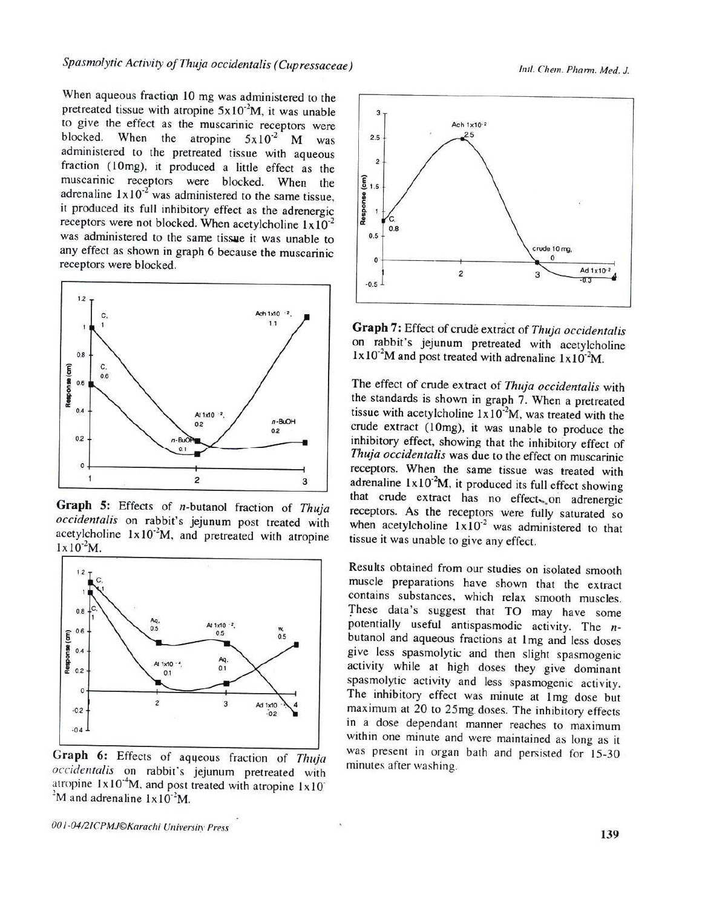When aqueous fraction 10 mg was administered to the pretreated tissue with atropine  $5x10^{2}M$ , it was unable to give the effect as the muscarinic receptors were blocked. When the atropine  $5x10^{-2}$  M was administered to the pretreated tissue with aqueous fraction (10mg), it produced a little effect as the muscarinic receptors were blocked. When the adrenaline  $1 \times 10^{-2}$  was administered to the same tissue, it produced its full inhibitory effect as the adrenergic receptors were not blocked. When acetylcholine  $1x10^{-2}$ was administered to the same tissue it was unable to any effect as shown in graph 6 because the muscarinic receptors were blocked.



Graph 5: Effects of n-butanol fraction of Thuja occidentalis on rabbit's jejunum post treated with acetylcholine  $1x10^{-2}M$ , and pretreated with atropine  $1 \times 10^{-2}$ M.



Graph 6: Effects of aqueous fraction of Thuja occidentalis on rabbit's jejunum pretreated with atropine  $1x10^4$ M, and post treated with atropine  $1x10$ <sup>2</sup>M and adrenaline  $1 \times 10^{-2}$ M.



Graph 7: Effect of crude extract of Thuja occidentalis on rabbit's jejunum pretreated with acetylcholine  $1x10<sup>-2</sup>M$  and post treated with adrenaline  $1x10<sup>-2</sup>M$ .

The effect of crude extract of Thuja occidentalis with the standards is shown in graph 7. When a pretreated tissue with acetylcholine  $1x10^2M$ , was treated with the crude extract (10mg), it was unable to produce the inhibitory effect, showing that the inhibitory effect of Thuja occidentalis was due to the effect on muscarinic receptors. When the same tissue was treated with adrenaline  $1x10^2M$ , it produced its full effect showing that crude extract has no effects on adrenergic receptors. As the receptors were fully saturated so when acetylcholine  $1x10^2$  was administered to that tissue it was unable to give any effect.

Results obtained from our studies on isolated smooth muscle preparations have shown that the extract contains substances, which relax smooth muscles. These data's suggest that TO may have some potentially useful antispasmodic activity. The  $n$ butanol and aqueous fractions at 1mg and less doses give less spasmolytic and then slight spasmogenic activity while at high doses they give dominant spasmolytic activity and less spasmogenic activity. The inhibitory effect was minute at 1mg dose but maximum at 20 to 25mg doses. The inhibitory effects in a dose dependant manner reaches to maximum within one minute and were maintained as long as it was present in organ bath and persisted for 15-30 minutes after washing.

001-04/21CPMJ©Karachi University Press